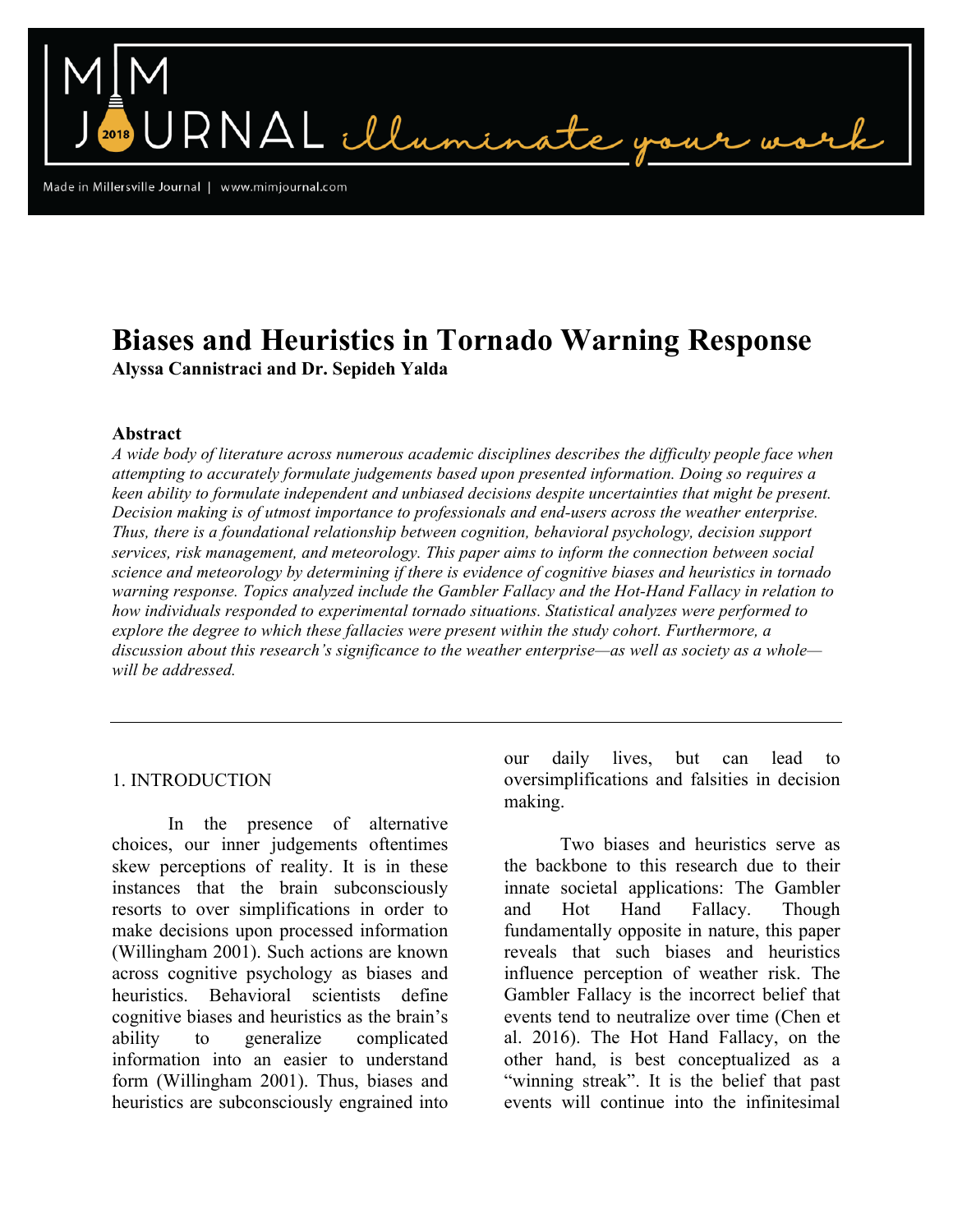Made in Millersville Journal | www.mimjournal.com

# **Biases and Heuristics in Tornado Warning Response Alyssa Cannistraci and Dr. Sepideh Yalda**

NAL illumin

## **Abstract**

*A wide body of literature across numerous academic disciplines describes the difficulty people face when attempting to accurately formulate judgements based upon presented information. Doing so requires a keen ability to formulate independent and unbiased decisions despite uncertainties that might be present. Decision making is of utmost importance to professionals and end-users across the weather enterprise. Thus, there is a foundational relationship between cognition, behavioral psychology, decision support services, risk management, and meteorology. This paper aims to inform the connection between social science and meteorology by determining if there is evidence of cognitive biases and heuristics in tornado warning response. Topics analyzed include the Gambler Fallacy and the Hot-Hand Fallacy in relation to how individuals responded to experimental tornado situations. Statistical analyzes were performed to explore the degree to which these fallacies were present within the study cohort. Furthermore, a discussion about this research's significance to the weather enterprise—as well as society as a whole will be addressed.* 

## 1. INTRODUCTION

In the presence of alternative choices, our inner judgements oftentimes skew perceptions of reality. It is in these instances that the brain subconsciously resorts to over simplifications in order to make decisions upon processed information (Willingham 2001). Such actions are known across cognitive psychology as biases and heuristics. Behavioral scientists define cognitive biases and heuristics as the brain's ability to generalize complicated information into an easier to understand form (Willingham 2001). Thus, biases and heuristics are subconsciously engrained into

our daily lives, but can lead to oversimplifications and falsities in decision making.

Two biases and heuristics serve as the backbone to this research due to their innate societal applications: The Gambler and Hot Hand Fallacy. Though fundamentally opposite in nature, this paper reveals that such biases and heuristics influence perception of weather risk. The Gambler Fallacy is the incorrect belief that events tend to neutralize over time (Chen et al. 2016). The Hot Hand Fallacy, on the other hand, is best conceptualized as a "winning streak". It is the belief that past events will continue into the infinitesimal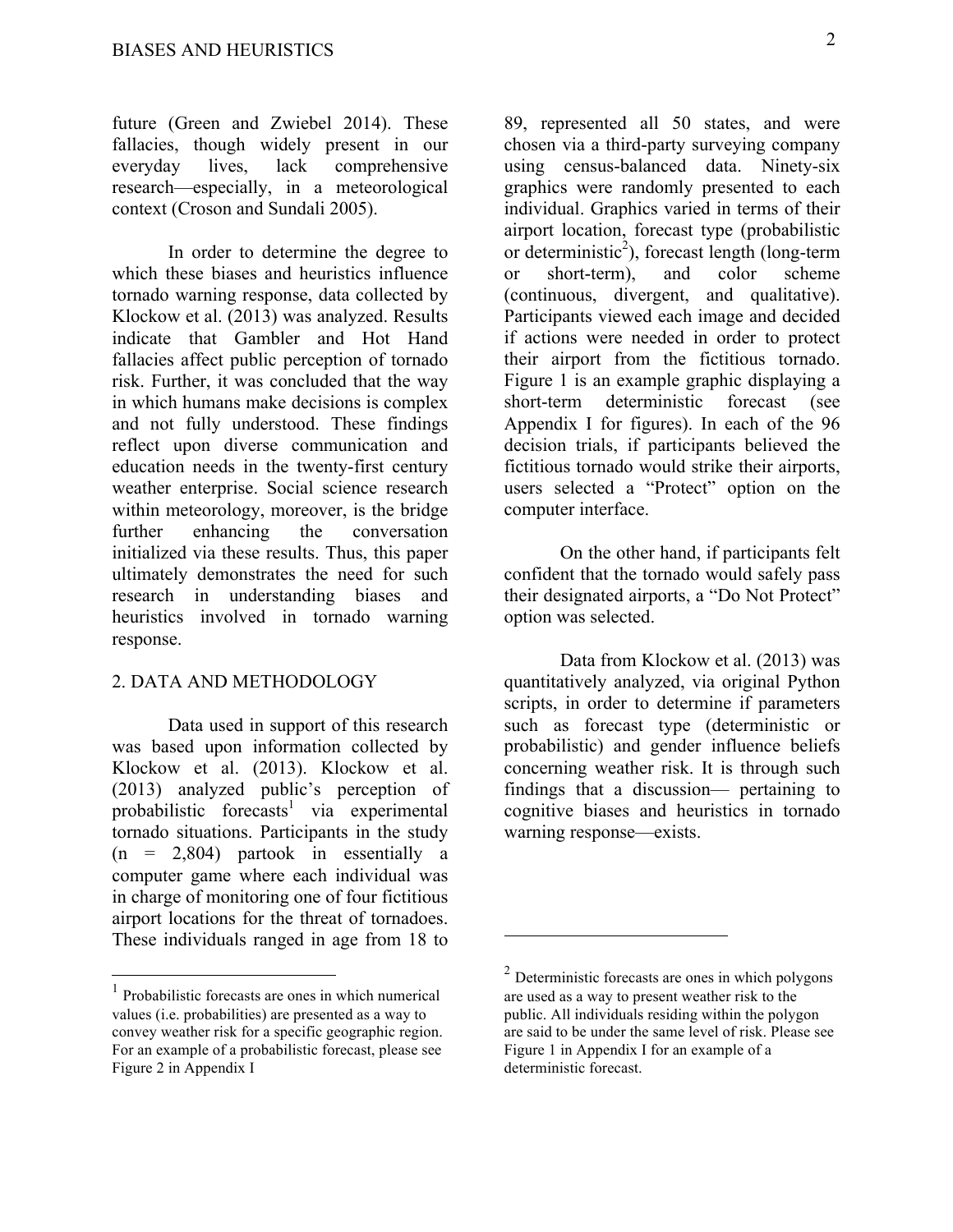future (Green and Zwiebel 2014). These fallacies, though widely present in our everyday lives, lack comprehensive research—especially, in a meteorological context (Croson and Sundali 2005).

In order to determine the degree to which these biases and heuristics influence tornado warning response, data collected by Klockow et al. (2013) was analyzed. Results indicate that Gambler and Hot Hand fallacies affect public perception of tornado risk. Further, it was concluded that the way in which humans make decisions is complex and not fully understood. These findings reflect upon diverse communication and education needs in the twenty-first century weather enterprise. Social science research within meteorology, moreover, is the bridge further enhancing the conversation initialized via these results. Thus, this paper ultimately demonstrates the need for such research in understanding biases and heuristics involved in tornado warning response.

## 2. DATA AND METHODOLOGY

Data used in support of this research was based upon information collected by Klockow et al. (2013). Klockow et al. (2013) analyzed public's perception of probabilistic forecasts<sup>1</sup> via experimental tornado situations. Participants in the study  $(n = 2,804)$  partook in essentially a computer game where each individual was in charge of monitoring one of four fictitious airport locations for the threat of tornadoes. These individuals ranged in age from 18 to

89, represented all 50 states, and were chosen via a third-party surveying company using census-balanced data. Ninety-six graphics were randomly presented to each individual. Graphics varied in terms of their airport location, forecast type (probabilistic or deterministic<sup>2</sup>), forecast length (long-term or short-term), and color scheme (continuous, divergent, and qualitative). Participants viewed each image and decided if actions were needed in order to protect their airport from the fictitious tornado. Figure 1 is an example graphic displaying a short-term deterministic forecast (see Appendix I for figures). In each of the 96 decision trials, if participants believed the fictitious tornado would strike their airports, users selected a "Protect" option on the computer interface.

On the other hand, if participants felt confident that the tornado would safely pass their designated airports, a "Do Not Protect" option was selected.

Data from Klockow et al. (2013) was quantitatively analyzed, via original Python scripts, in order to determine if parameters such as forecast type (deterministic or probabilistic) and gender influence beliefs concerning weather risk. It is through such findings that a discussion— pertaining to cognitive biases and heuristics in tornado warning response—exists.

 $\overline{a}$ 

<sup>1</sup> Probabilistic forecasts are ones in which numerical values (i.e. probabilities) are presented as a way to convey weather risk for a specific geographic region. For an example of a probabilistic forecast, please see Figure 2 in Appendix I

<sup>2</sup> Deterministic forecasts are ones in which polygons are used as a way to present weather risk to the public. All individuals residing within the polygon are said to be under the same level of risk. Please see Figure 1 in Appendix I for an example of a deterministic forecast.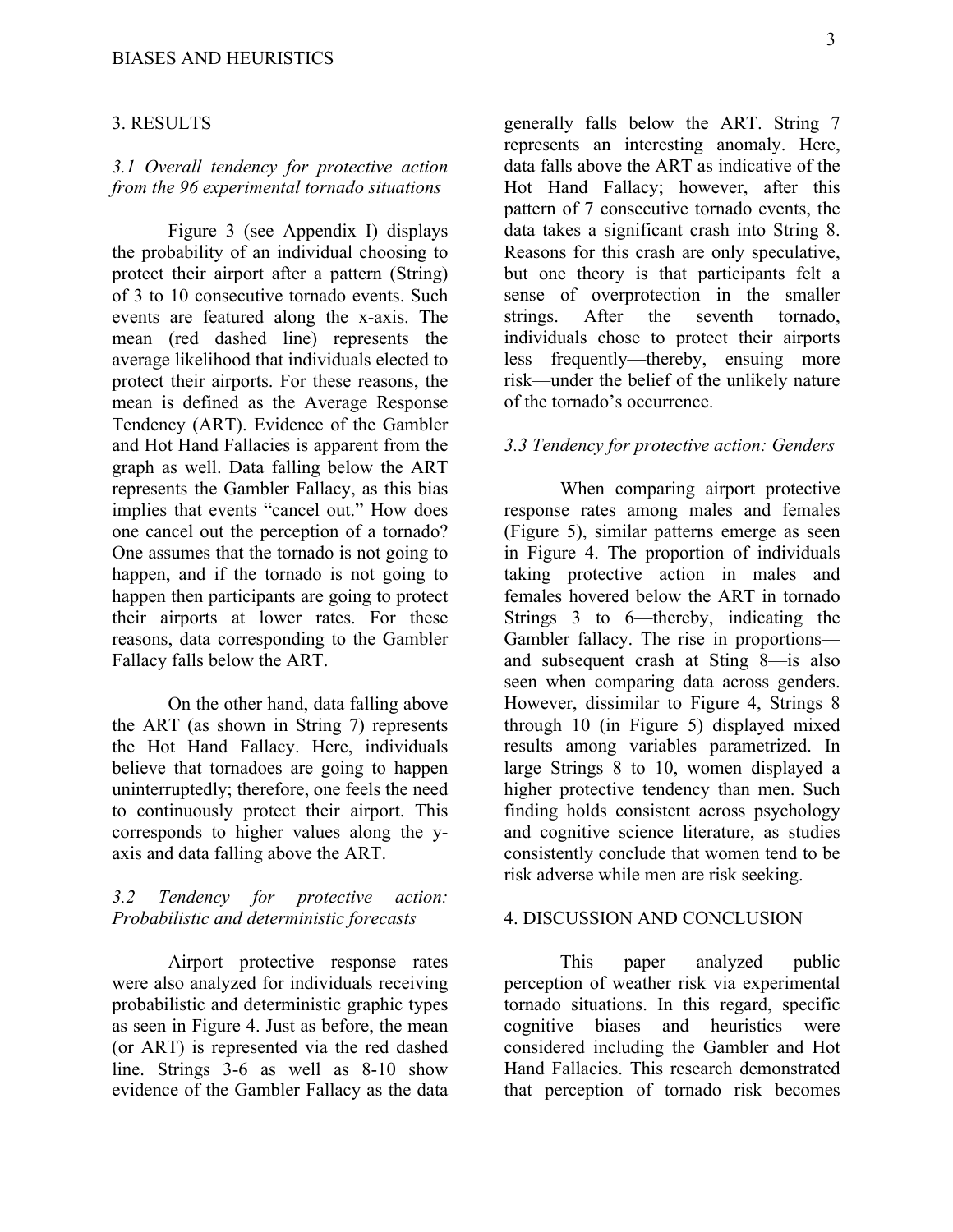#### 3. RESULTS

## *3.1 Overall tendency for protective action from the 96 experimental tornado situations*

Figure 3 (see Appendix I) displays the probability of an individual choosing to protect their airport after a pattern (String) of 3 to 10 consecutive tornado events. Such events are featured along the x-axis. The mean (red dashed line) represents the average likelihood that individuals elected to protect their airports. For these reasons, the mean is defined as the Average Response Tendency (ART). Evidence of the Gambler and Hot Hand Fallacies is apparent from the graph as well. Data falling below the ART represents the Gambler Fallacy, as this bias implies that events "cancel out." How does one cancel out the perception of a tornado? One assumes that the tornado is not going to happen, and if the tornado is not going to happen then participants are going to protect their airports at lower rates. For these reasons, data corresponding to the Gambler Fallacy falls below the ART.

On the other hand, data falling above the ART (as shown in String 7) represents the Hot Hand Fallacy. Here, individuals believe that tornadoes are going to happen uninterruptedly; therefore, one feels the need to continuously protect their airport. This corresponds to higher values along the yaxis and data falling above the ART.

# *3.2 Tendency for protective action: Probabilistic and deterministic forecasts*

Airport protective response rates were also analyzed for individuals receiving probabilistic and deterministic graphic types as seen in Figure 4. Just as before, the mean (or ART) is represented via the red dashed line. Strings 3-6 as well as 8-10 show evidence of the Gambler Fallacy as the data

generally falls below the ART. String 7 represents an interesting anomaly. Here, data falls above the ART as indicative of the Hot Hand Fallacy; however, after this pattern of 7 consecutive tornado events, the data takes a significant crash into String 8. Reasons for this crash are only speculative, but one theory is that participants felt a sense of overprotection in the smaller strings. After the seventh tornado, individuals chose to protect their airports less frequently—thereby, ensuing more risk—under the belief of the unlikely nature of the tornado's occurrence.

## *3.3 Tendency for protective action: Genders*

When comparing airport protective response rates among males and females (Figure 5), similar patterns emerge as seen in Figure 4. The proportion of individuals taking protective action in males and females hovered below the ART in tornado Strings 3 to 6—thereby, indicating the Gambler fallacy. The rise in proportions and subsequent crash at Sting 8—is also seen when comparing data across genders. However, dissimilar to Figure 4, Strings 8 through 10 (in Figure 5) displayed mixed results among variables parametrized. In large Strings 8 to 10, women displayed a higher protective tendency than men. Such finding holds consistent across psychology and cognitive science literature, as studies consistently conclude that women tend to be risk adverse while men are risk seeking.

## 4. DISCUSSION AND CONCLUSION

This paper analyzed public perception of weather risk via experimental tornado situations. In this regard, specific cognitive biases and heuristics were considered including the Gambler and Hot Hand Fallacies. This research demonstrated that perception of tornado risk becomes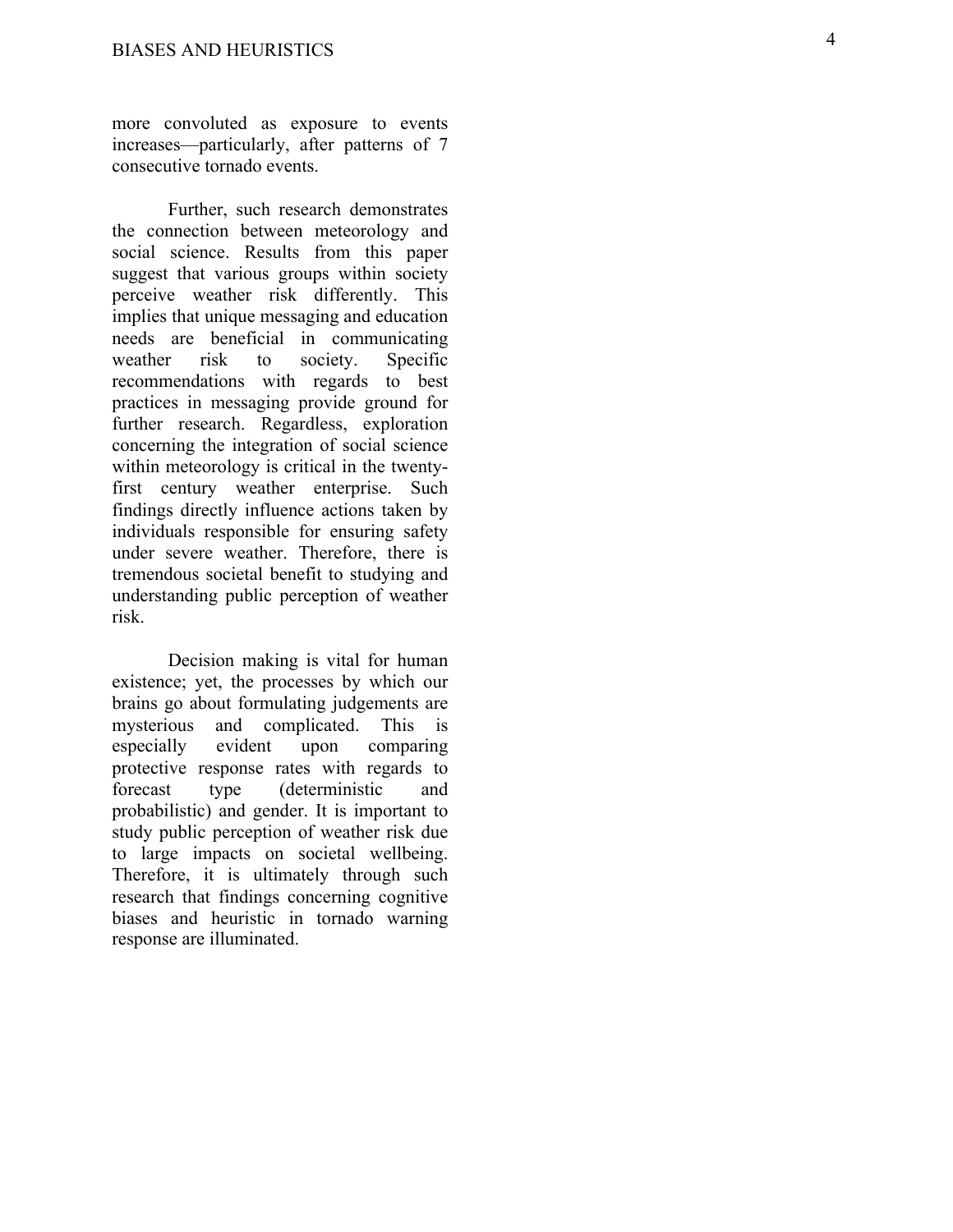more convoluted as exposure to events increases —particularly, after patterns of 7 consecutive tornado events.

Further, such research demonstrates the connection between meteorology and social science. Results from this paper suggest that various groups within society perceive weather risk differently. This implies that unique messaging and education needs are beneficial in communicating weather risk to society. Specific recommendations with regards to best practices in messaging provide ground for further research. Regardless, exploration concerning the integration of social science within meteorology is critical in the twentyfirst century weather enterprise. Such findings directly influence actions taken by individuals responsible for ensuring safety under severe weather. Therefore, there is tremendous societal benefit to studying and understanding public perception of weather risk.

Decision making is vital for human existence; yet, the processes by which our brains go about formulating judgements are mysterious and complicated. This is especially evident upon comparing protective response rates with regards to forecast type (deterministic and probabilistic) and gender. It is important to study public perception of weather risk due to large impacts on societal wellbeing. Therefore, it is ultimately through such research that findings concerning cognitive biases and heuristic in tornado warning response are illuminated.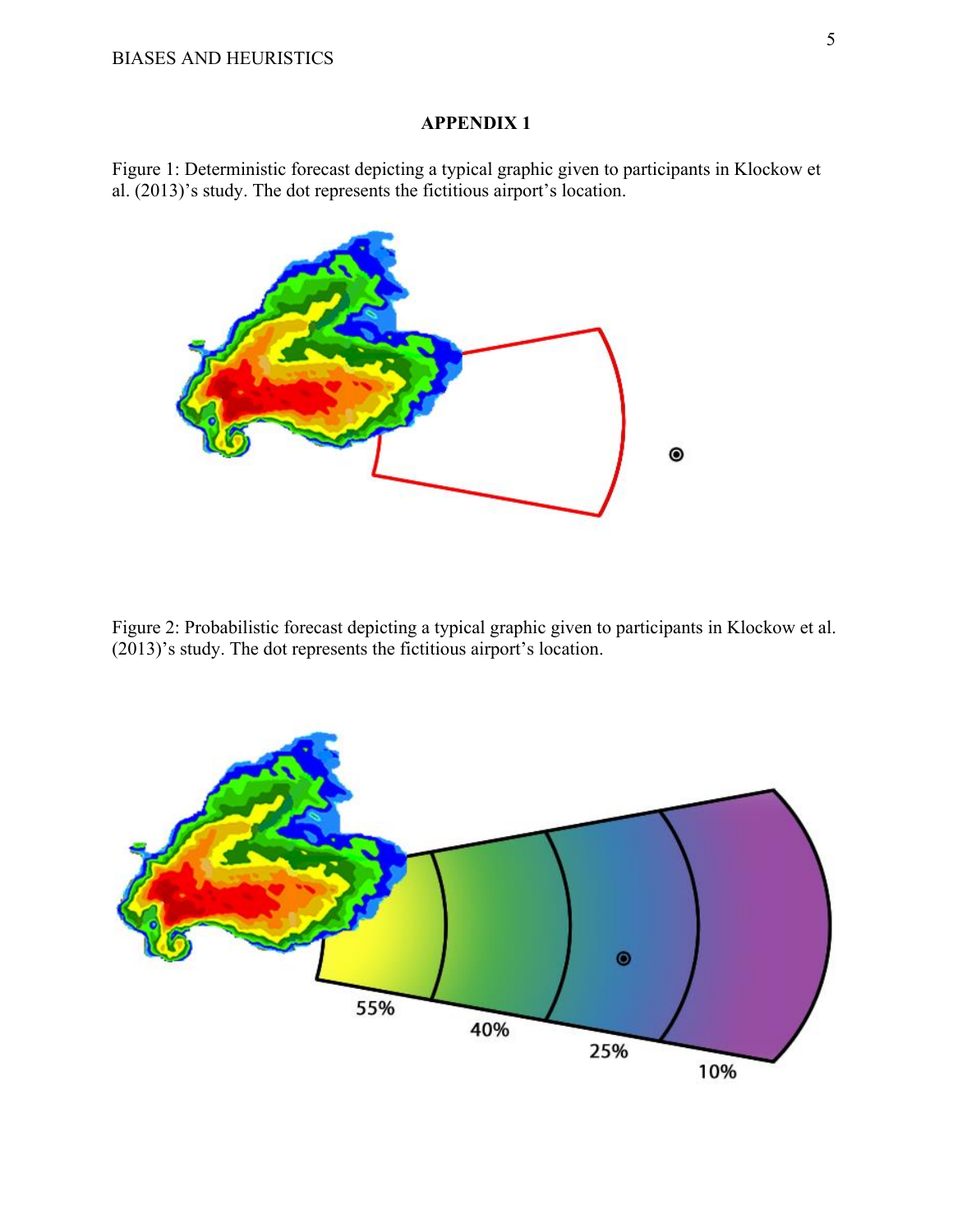# **APPENDIX 1**

Figure 1: Deterministic forecast depicting a typical graphic given to participants in Klockow et al. (2013)'s study. The dot represents the fictitious airport's location.



Figure 2: Probabilistic forecast depicting a typical graphic given to participants in Klockow et al. (2013)'s study. The dot represents the fictitious airport's location.

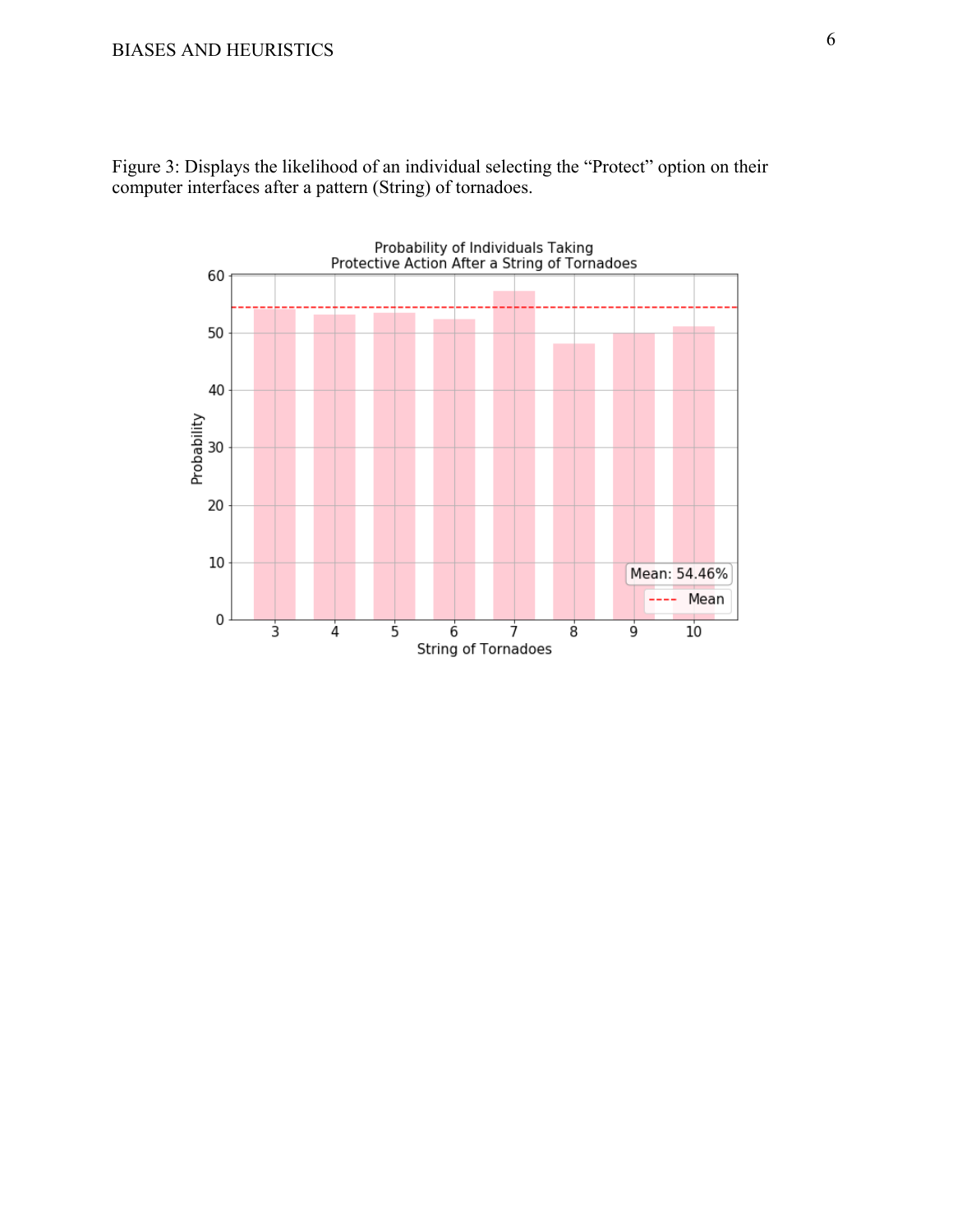

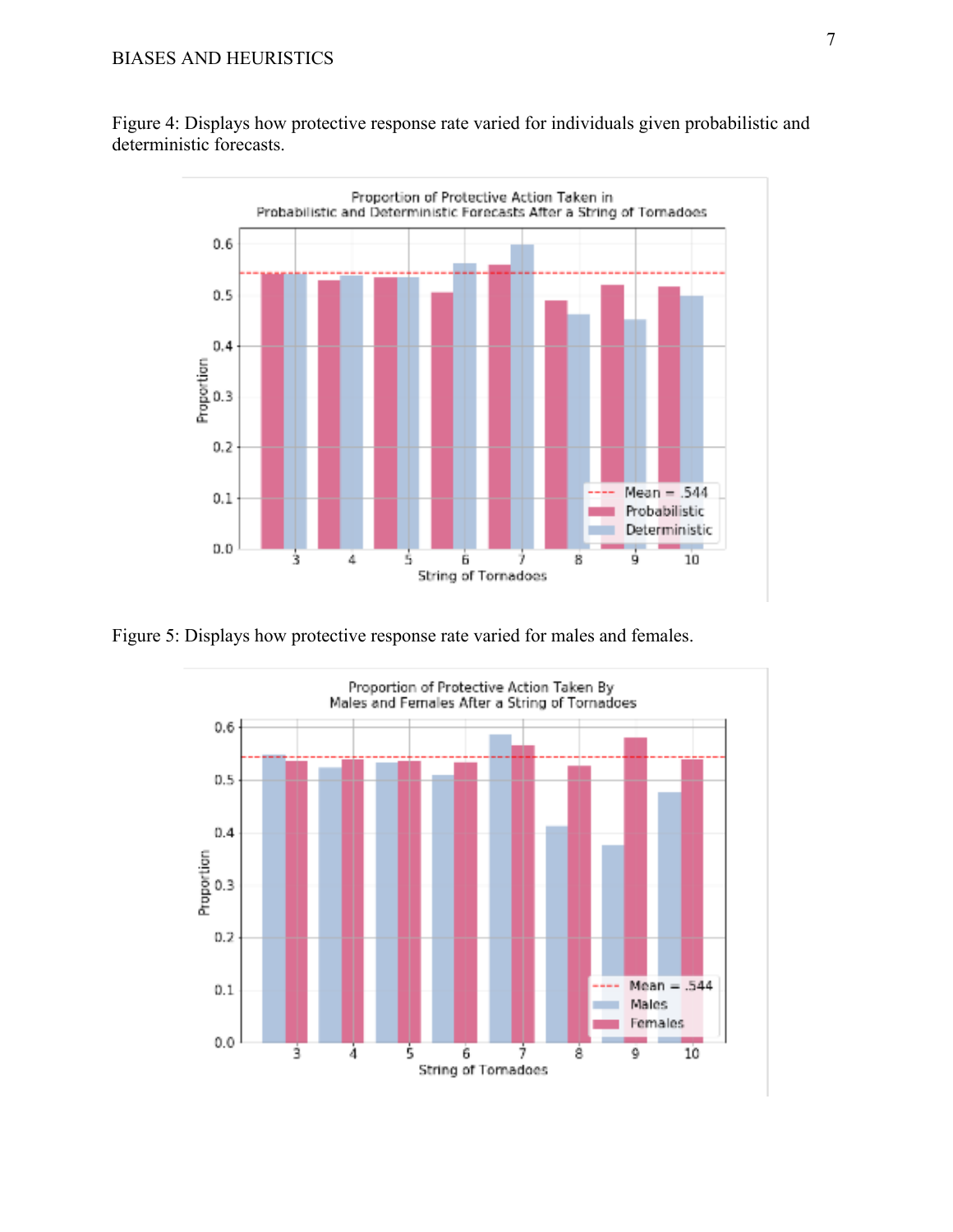Figure 4: Displays how protective response rate varied for individuals given probabilistic and deterministic forecasts.



Figure 5: Displays how protective response rate varied for males and females.